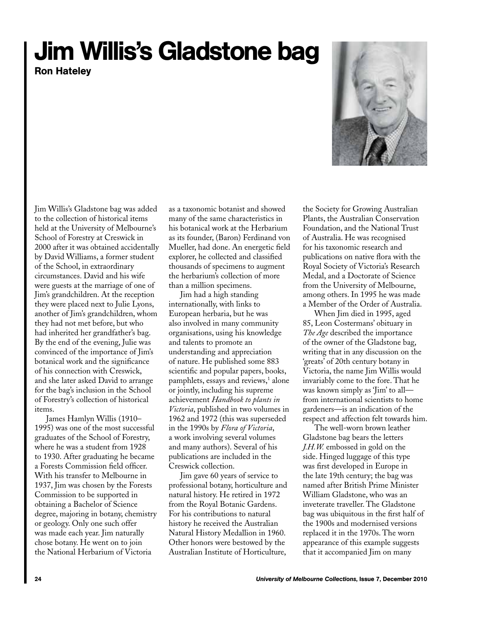## Jim Willis's Gladstone bag

Ron Hateley



Jim Willis's Gladstone bag was added to the collection of historical items held at the University of Melbourne's School of Forestry at Creswick in 2000 after it was obtained accidentally by David Williams, a former student of the School, in extraordinary circumstances. David and his wife were guests at the marriage of one of Jim's grandchildren. At the reception they were placed next to Julie Lyons, another of Jim's grandchildren, whom they had not met before, but who had inherited her grandfather's bag. By the end of the evening, Julie was convinced of the importance of Jim's botanical work and the significance of his connection with Creswick, and she later asked David to arrange for the bag's inclusion in the School of Forestry's collection of historical items.

James Hamlyn Willis (1910– 1995) was one of the most successful graduates of the School of Forestry, where he was a student from 1928 to 1930. After graduating he became a Forests Commission field officer. With his transfer to Melbourne in 1937, Jim was chosen by the Forests Commission to be supported in obtaining a Bachelor of Science degree, majoring in botany, chemistry or geology. Only one such offer was made each year. Jim naturally chose botany. He went on to join the National Herbarium of Victoria

as a taxonomic botanist and showed many of the same characteristics in his botanical work at the Herbarium as its founder, (Baron) Ferdinand von Mueller, had done. An energetic field explorer, he collected and classified thousands of specimens to augment the herbarium's collection of more than a million specimens.

Jim had a high standing internationally, with links to European herbaria, but he was also involved in many community organisations, using his knowledge and talents to promote an understanding and appreciation of nature. He published some 883 scientific and popular papers, books, pamphlets, essays and reviews,<sup>1</sup> alone or jointly, including his supreme achievement *Handbook to plants in Victoria*, published in two volumes in 1962 and 1972 (this was superseded in the 1990s by *Flora of Victoria*, a work involving several volumes and many authors). Several of his publications are included in the Creswick collection.

Jim gave 60 years of service to professional botany, horticulture and natural history. He retired in 1972 from the Royal Botanic Gardens. For his contributions to natural history he received the Australian Natural History Medallion in 1960. Other honors were bestowed by the Australian Institute of Horticulture,

the Society for Growing Australian Plants, the Australian Conservation Foundation, and the National Trust of Australia. He was recognised for his taxonomic research and publications on native flora with the Royal Society of Victoria's Research Medal, and a Doctorate of Science from the University of Melbourne, among others. In 1995 he was made a Member of the Order of Australia.

When Jim died in 1995, aged 85, Leon Costermans' obituary in *The Age* described the importance of the owner of the Gladstone bag, writing that in any discussion on the 'greats' of 20th century botany in Victoria, the name Jim Willis would invariably come to the fore. That he was known simply as 'Jim' to all from international scientists to home gardeners—is an indication of the respect and affection felt towards him.

The well-worn brown leather Gladstone bag bears the letters *J.H.W.* embossed in gold on the side. Hinged luggage of this type was first developed in Europe in the late 19th century; the bag was named after British Prime Minister William Gladstone, who was an inveterate traveller. The Gladstone bag was ubiquitous in the first half of the 1900s and modernised versions replaced it in the 1970s. The worn appearance of this example suggests that it accompanied Jim on many